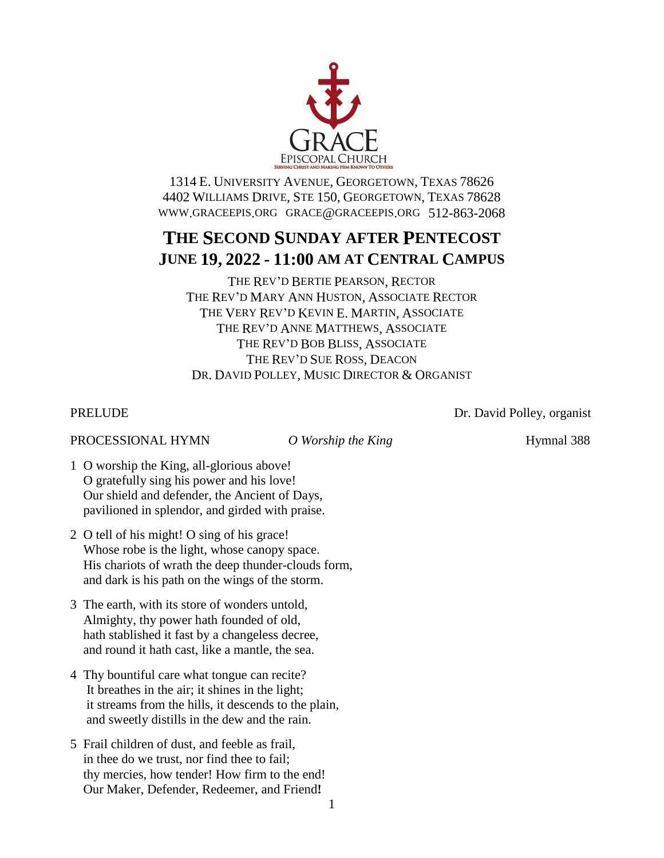

1314 E. UNIVERSITY AVENUE, GEORGETOWN, TEXAS 78626 4402 WILLIAMS DRIVE, STE 150, GEORGETOWN, TEXAS 78628 WWW.GRACEEPIS.ORG GRACE@GRACEEPIS.ORG 512-863-2068

# **THE SECOND SUNDAY AFTER PENTECOST JUNE 19, 2022 - 11:00 AM AT CENTRAL CAMPUS**

# THE REV'D BERTIE PEARSON, RECTOR THE REV'D MARY ANN HUSTON, ASSOCIATE RECTOR THE VERY REV'D KEVIN E. MARTIN, ASSOCIATE THE REV'D ANNE MATTHEWS, ASSOCIATE THE REV'D BOB BLISS, ASSOCIATE THE REV'D SUE ROSS, DEACON DR. DAVID POLLEY, MUSIC DIRECTOR & ORGANIST

## PRELUDE Dr. David Polley, organist

PROCESSIONAL HYMN *O Worship* the *King* Hymnal 388

- 1 O worship the King, all-glorious above! O gratefully sing his power and his love! Our shield and defender, the Ancient of Days, pavilioned in splendor, and girded with praise.
- 2 O tell of his might! O sing of his grace! Whose robe is the light, whose canopy space. His chariots of wrath the deep thunder-clouds form, and dark is his path on the wings of the storm.
- 3 The earth, with its store of wonders untold, Almighty, thy power hath founded of old, hath stablished it fast by a changeless decree, and round it hath cast, like a mantle, the sea.
- 4 Thy bountiful care what tongue can recite? It breathes in the air; it shines in the light; it streams from the hills, it descends to the plain, and sweetly distills in the dew and the rain.
- 5 Frail children of dust, and feeble as frail, in thee do we trust, nor find thee to fail; thy mercies, how tender! How firm to the end! Our Maker, Defender, Redeemer, and Friend**!**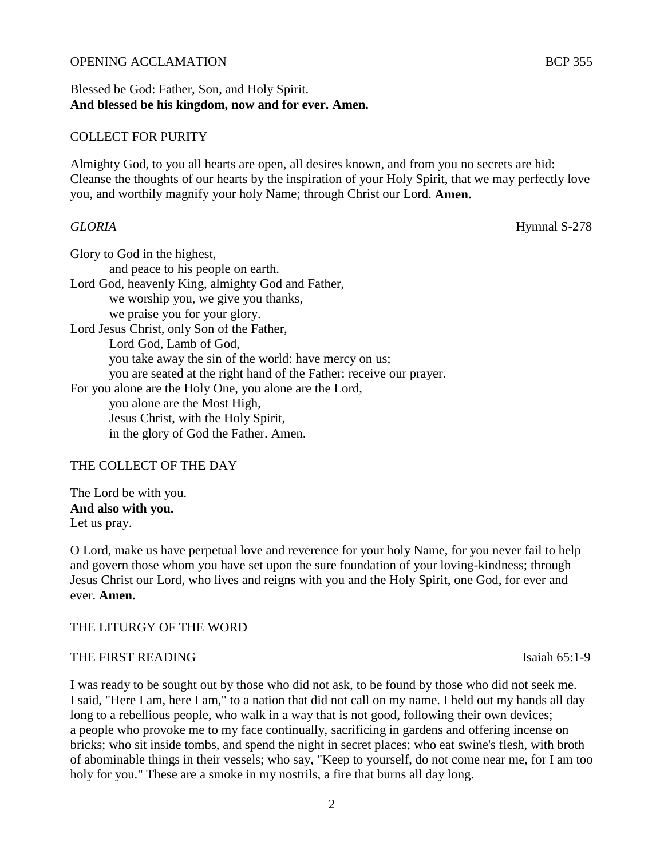#### OPENING ACCLAMATION BCP 355

#### Blessed be God: Father, Son, and Holy Spirit. **And blessed be his kingdom, now and for ever. Amen.**

#### COLLECT FOR PURITY

Almighty God, to you all hearts are open, all desires known, and from you no secrets are hid: Cleanse the thoughts of our hearts by the inspiration of your Holy Spirit, that we may perfectly love you, and worthily magnify your holy Name; through Christ our Lord. **Amen.**

*GLORIA* Hymnal S-278

| Glory to God in the highest,                                        |
|---------------------------------------------------------------------|
| and peace to his people on earth.                                   |
| Lord God, heavenly King, almighty God and Father,                   |
| we worship you, we give you thanks,                                 |
| we praise you for your glory.                                       |
| Lord Jesus Christ, only Son of the Father,                          |
| Lord God, Lamb of God,                                              |
| you take away the sin of the world: have mercy on us;               |
| you are seated at the right hand of the Father: receive our prayer. |
| For you alone are the Holy One, you alone are the Lord,             |
| you alone are the Most High,                                        |
| Jesus Christ, with the Holy Spirit,                                 |
| in the glory of God the Father. Amen.                               |
|                                                                     |

#### THE COLLECT OF THE DAY

The Lord be with you. **And also with you.** Let us pray.

O Lord, make us have perpetual love and reverence for your holy Name, for you never fail to help and govern those whom you have set upon the sure foundation of your loving-kindness; through Jesus Christ our Lord, who lives and reigns with you and the Holy Spirit, one God, for ever and ever. **Amen.**

#### THE LITURGY OF THE WORD

#### THE FIRST READING ISLAMIC STOLEN THE FIRST READING

I was ready to be sought out by those who did not ask, to be found by those who did not seek me. I said, "Here I am, here I am," to a nation that did not call on my name. I held out my hands all day long to a rebellious people, who walk in a way that is not good, following their own devices; a people who provoke me to my face continually, sacrificing in gardens and offering incense on bricks; who sit inside tombs, and spend the night in secret places; who eat swine's flesh, with broth of abominable things in their vessels; who say, "Keep to yourself, do not come near me, for I am too holy for you." These are a smoke in my nostrils, a fire that burns all day long.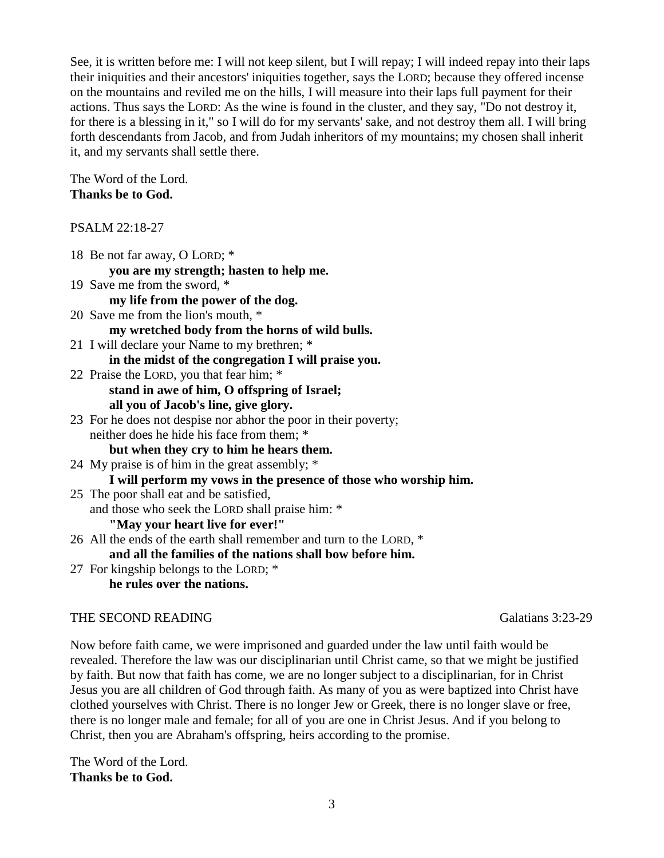See, it is written before me: I will not keep silent, but I will repay; I will indeed repay into their laps their iniquities and their ancestors' iniquities together, says the LORD; because they offered incense on the mountains and reviled me on the hills, I will measure into their laps full payment for their actions. Thus says the LORD: As the wine is found in the cluster, and they say, "Do not destroy it, for there is a blessing in it," so I will do for my servants' sake, and not destroy them all. I will bring forth descendants from Jacob, and from Judah inheritors of my mountains; my chosen shall inherit it, and my servants shall settle there.

The Word of the Lord. **Thanks be to God.**

### PSALM 22:18-27

| 18 Be not far away, O LORD; *                                       |
|---------------------------------------------------------------------|
| you are my strength; hasten to help me.                             |
| 19 Save me from the sword, *                                        |
| my life from the power of the dog.                                  |
| 20 Save me from the lion's mouth, *                                 |
| my wretched body from the horns of wild bulls.                      |
| 21 I will declare your Name to my brethren; *                       |
| in the midst of the congregation I will praise you.                 |
| 22 Praise the LORD, you that fear him; *                            |
| stand in awe of him, O offspring of Israel;                         |
| all you of Jacob's line, give glory.                                |
| 23 For he does not despise nor abhor the poor in their poverty;     |
| neither does he hide his face from them; *                          |
| but when they cry to him he hears them.                             |
| 24 My praise is of him in the great assembly; *                     |
| I will perform my vows in the presence of those who worship him.    |
| 25 The poor shall eat and be satisfied,                             |
| and those who seek the LORD shall praise him: *                     |
| "May your heart live for ever!"                                     |
| 26 All the ends of the earth shall remember and turn to the LORD, * |
| and all the families of the nations shall bow before him.           |
| 27 For kingship belongs to the LORD; *                              |
| he rules over the nations.                                          |

### THE SECOND READING Galatians 3:23-29

Now before faith came, we were imprisoned and guarded under the law until faith would be revealed. Therefore the law was our disciplinarian until Christ came, so that we might be justified by faith. But now that faith has come, we are no longer subject to a disciplinarian, for in Christ Jesus you are all children of God through faith. As many of you as were baptized into Christ have clothed yourselves with Christ. There is no longer Jew or Greek, there is no longer slave or free, there is no longer male and female; for all of you are one in Christ Jesus. And if you belong to Christ, then you are Abraham's offspring, heirs according to the promise.

The Word of the Lord. **Thanks be to God.**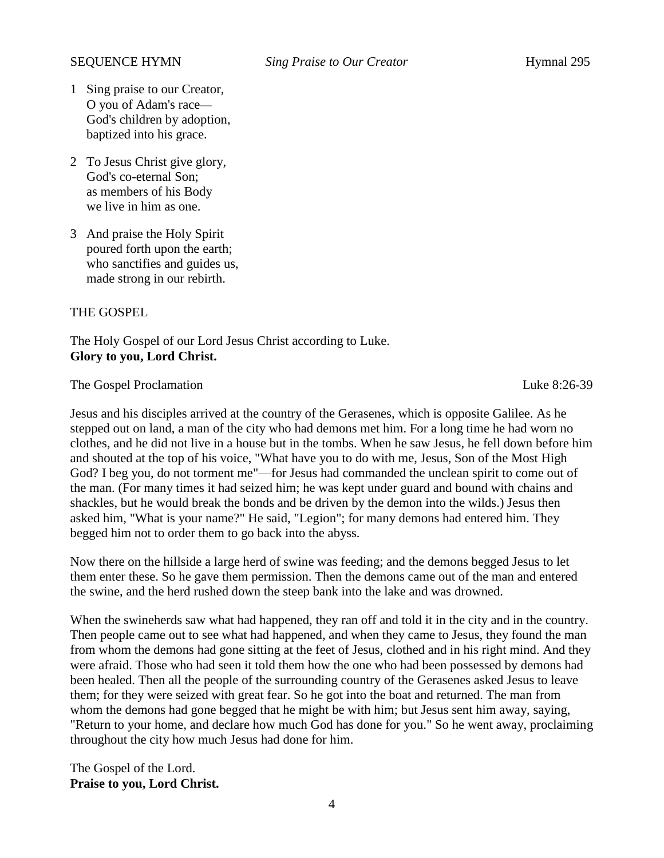- 1 Sing praise to our Creator, O you of Adam's race— God's children by adoption, baptized into his grace.
- 2 To Jesus Christ give glory, God's co-eternal Son; as members of his Body we live in him as one.
- 3 And praise the Holy Spirit poured forth upon the earth; who sanctifies and guides us, made strong in our rebirth.

### THE GOSPEL

The Holy Gospel of our Lord Jesus Christ according to Luke. **Glory to you, Lord Christ.**

The Gospel Proclamation Luke 8:26-39

Jesus and his disciples arrived at the country of the Gerasenes, which is opposite Galilee. As he stepped out on land, a man of the city who had demons met him. For a long time he had worn no clothes, and he did not live in a house but in the tombs. When he saw Jesus, he fell down before him and shouted at the top of his voice, "What have you to do with me, Jesus, Son of the Most High God? I beg you, do not torment me"—for Jesus had commanded the unclean spirit to come out of the man. (For many times it had seized him; he was kept under guard and bound with chains and shackles, but he would break the bonds and be driven by the demon into the wilds.) Jesus then asked him, "What is your name?" He said, "Legion"; for many demons had entered him. They begged him not to order them to go back into the abyss.

Now there on the hillside a large herd of swine was feeding; and the demons begged Jesus to let them enter these. So he gave them permission. Then the demons came out of the man and entered the swine, and the herd rushed down the steep bank into the lake and was drowned.

When the swineherds saw what had happened, they ran off and told it in the city and in the country. Then people came out to see what had happened, and when they came to Jesus, they found the man from whom the demons had gone sitting at the feet of Jesus, clothed and in his right mind. And they were afraid. Those who had seen it told them how the one who had been possessed by demons had been healed. Then all the people of the surrounding country of the Gerasenes asked Jesus to leave them; for they were seized with great fear. So he got into the boat and returned. The man from whom the demons had gone begged that he might be with him; but Jesus sent him away, saying, "Return to your home, and declare how much God has done for you." So he went away, proclaiming throughout the city how much Jesus had done for him.

The Gospel of the Lord. **Praise to you, Lord Christ.**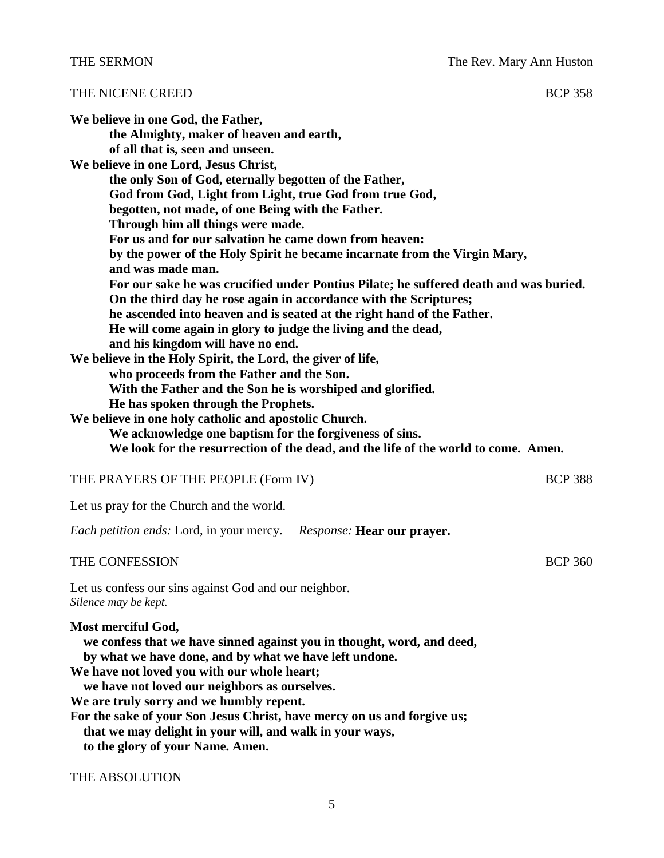| THE NICENE CREED                                                                                                                                                                                                                                                                                                                                                                                                                                                                                                                                                                                                                                                                                                                                                                                                                                                                                                                                                                                                                                                                                                                                                                                                                                                                                                | <b>BCP 358</b> |  |  |
|-----------------------------------------------------------------------------------------------------------------------------------------------------------------------------------------------------------------------------------------------------------------------------------------------------------------------------------------------------------------------------------------------------------------------------------------------------------------------------------------------------------------------------------------------------------------------------------------------------------------------------------------------------------------------------------------------------------------------------------------------------------------------------------------------------------------------------------------------------------------------------------------------------------------------------------------------------------------------------------------------------------------------------------------------------------------------------------------------------------------------------------------------------------------------------------------------------------------------------------------------------------------------------------------------------------------|----------------|--|--|
| We believe in one God, the Father,<br>the Almighty, maker of heaven and earth,<br>of all that is, seen and unseen.<br>We believe in one Lord, Jesus Christ,<br>the only Son of God, eternally begotten of the Father,<br>God from God, Light from Light, true God from true God,<br>begotten, not made, of one Being with the Father.<br>Through him all things were made.<br>For us and for our salvation he came down from heaven:<br>by the power of the Holy Spirit he became incarnate from the Virgin Mary,<br>and was made man.<br>For our sake he was crucified under Pontius Pilate; he suffered death and was buried.<br>On the third day he rose again in accordance with the Scriptures;<br>he ascended into heaven and is seated at the right hand of the Father.<br>He will come again in glory to judge the living and the dead,<br>and his kingdom will have no end.<br>We believe in the Holy Spirit, the Lord, the giver of life,<br>who proceeds from the Father and the Son.<br>With the Father and the Son he is worshiped and glorified.<br>He has spoken through the Prophets.<br>We believe in one holy catholic and apostolic Church.<br>We acknowledge one baptism for the forgiveness of sins.<br>We look for the resurrection of the dead, and the life of the world to come. Amen. |                |  |  |
| THE PRAYERS OF THE PEOPLE (Form IV)                                                                                                                                                                                                                                                                                                                                                                                                                                                                                                                                                                                                                                                                                                                                                                                                                                                                                                                                                                                                                                                                                                                                                                                                                                                                             | <b>BCP 388</b> |  |  |
| Let us pray for the Church and the world.                                                                                                                                                                                                                                                                                                                                                                                                                                                                                                                                                                                                                                                                                                                                                                                                                                                                                                                                                                                                                                                                                                                                                                                                                                                                       |                |  |  |
| <i>Each petition ends:</i> Lord, in your mercy.<br><i>Response:</i> Hear our prayer.                                                                                                                                                                                                                                                                                                                                                                                                                                                                                                                                                                                                                                                                                                                                                                                                                                                                                                                                                                                                                                                                                                                                                                                                                            |                |  |  |
| THE CONFESSION                                                                                                                                                                                                                                                                                                                                                                                                                                                                                                                                                                                                                                                                                                                                                                                                                                                                                                                                                                                                                                                                                                                                                                                                                                                                                                  | <b>BCP 360</b> |  |  |
| Let us confess our sins against God and our neighbor.<br>Silence may be kept.                                                                                                                                                                                                                                                                                                                                                                                                                                                                                                                                                                                                                                                                                                                                                                                                                                                                                                                                                                                                                                                                                                                                                                                                                                   |                |  |  |
| Most merciful God,<br>we confess that we have sinned against you in thought, word, and deed,<br>by what we have done, and by what we have left undone.<br>We have not loved you with our whole heart;<br>we have not loved our neighbors as ourselves.<br>We are truly sorry and we humbly repent.<br>For the sake of your Son Jesus Christ, have mercy on us and forgive us;<br>that we may delight in your will, and walk in your ways,<br>to the glory of your Name. Amen.<br>THE ABSOLUTION                                                                                                                                                                                                                                                                                                                                                                                                                                                                                                                                                                                                                                                                                                                                                                                                                 |                |  |  |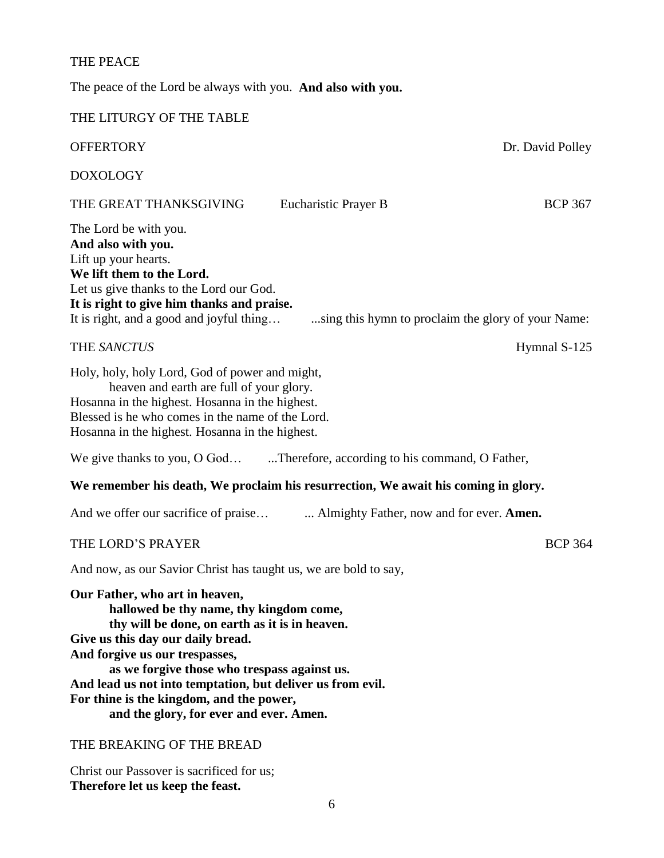THE PEACE

The peace of the Lord be always with you. **And also with you.** 

# THE LITURGY OF THE TABLE

| <b>OFFERTORY</b>                                                                                                                                                                                                                                                                                                                                                                                        |                      | Dr. David Polley                                   |  |  |  |
|---------------------------------------------------------------------------------------------------------------------------------------------------------------------------------------------------------------------------------------------------------------------------------------------------------------------------------------------------------------------------------------------------------|----------------------|----------------------------------------------------|--|--|--|
| <b>DOXOLOGY</b>                                                                                                                                                                                                                                                                                                                                                                                         |                      |                                                    |  |  |  |
| THE GREAT THANKSGIVING                                                                                                                                                                                                                                                                                                                                                                                  | Eucharistic Prayer B | <b>BCP 367</b>                                     |  |  |  |
| The Lord be with you.<br>And also with you.<br>Lift up your hearts.<br>We lift them to the Lord.<br>Let us give thanks to the Lord our God.<br>It is right to give him thanks and praise.<br>It is right, and a good and joyful thing                                                                                                                                                                   |                      | sing this hymn to proclaim the glory of your Name: |  |  |  |
| THE SANCTUS                                                                                                                                                                                                                                                                                                                                                                                             |                      | Hymnal S-125                                       |  |  |  |
| Holy, holy, holy Lord, God of power and might,<br>heaven and earth are full of your glory.<br>Hosanna in the highest. Hosanna in the highest.<br>Blessed is he who comes in the name of the Lord.<br>Hosanna in the highest. Hosanna in the highest.                                                                                                                                                    |                      |                                                    |  |  |  |
| We give thanks to you, O God  Therefore, according to his command, O Father,                                                                                                                                                                                                                                                                                                                            |                      |                                                    |  |  |  |
| We remember his death, We proclaim his resurrection, We await his coming in glory.                                                                                                                                                                                                                                                                                                                      |                      |                                                    |  |  |  |
| And we offer our sacrifice of praise  Almighty Father, now and for ever. Amen.                                                                                                                                                                                                                                                                                                                          |                      |                                                    |  |  |  |
| THE LORD'S PRAYER                                                                                                                                                                                                                                                                                                                                                                                       |                      | <b>BCP 364</b>                                     |  |  |  |
| And now, as our Savior Christ has taught us, we are bold to say,                                                                                                                                                                                                                                                                                                                                        |                      |                                                    |  |  |  |
| Our Father, who art in heaven,<br>hallowed be thy name, thy kingdom come,<br>thy will be done, on earth as it is in heaven.<br>Give us this day our daily bread.<br>And forgive us our trespasses,<br>as we forgive those who trespass against us.<br>And lead us not into temptation, but deliver us from evil.<br>For thine is the kingdom, and the power,<br>and the glory, for ever and ever. Amen. |                      |                                                    |  |  |  |
| THE BREAKING OF THE BREAD                                                                                                                                                                                                                                                                                                                                                                               |                      |                                                    |  |  |  |

Christ our Passover is sacrificed for us; **Therefore let us keep the feast.**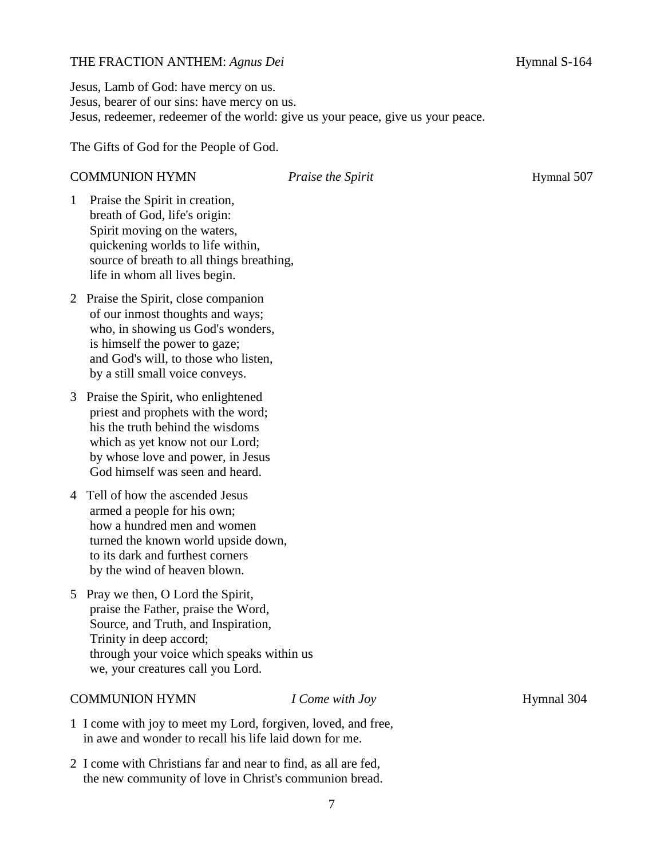#### THE FRACTION ANTHEM: *Agnus Dei* **Hymnal S-164** Hymnal S-164

Jesus, Lamb of God: have mercy on us. Jesus, bearer of our sins: have mercy on us. Jesus, redeemer, redeemer of the world: give us your peace, give us your peace.

The Gifts of God for the People of God.

### **COMMUNION HYMN** *Praise the Spirit* **Hymnal 507**

- 1 Praise the Spirit in creation, breath of God, life's origin: Spirit moving on the waters, quickening worlds to life within, source of breath to all things breathing, life in whom all lives begin.
- 2 Praise the Spirit, close companion of our inmost thoughts and ways; who, in showing us God's wonders, is himself the power to gaze; and God's will, to those who listen, by a still small voice conveys.
- 3 Praise the Spirit, who enlightened priest and prophets with the word; his the truth behind the wisdoms which as yet know not our Lord; by whose love and power, in Jesus God himself was seen and heard.
- 4 Tell of how the ascended Jesus armed a people for his own; how a hundred men and women turned the known world upside down, to its dark and furthest corners by the wind of heaven blown.
- 5 Pray we then, O Lord the Spirit, praise the Father, praise the Word, Source, and Truth, and Inspiration, Trinity in deep accord; through your voice which speaks within us we, your creatures call you Lord.

### COMMUNION HYMN *I* Come with *Joy* Hymnal 304

- 1 I come with joy to meet my Lord, forgiven, loved, and free, in awe and wonder to recall his life laid down for me.
- 2 I come with Christians far and near to find, as all are fed, the new community of love in Christ's communion bread.